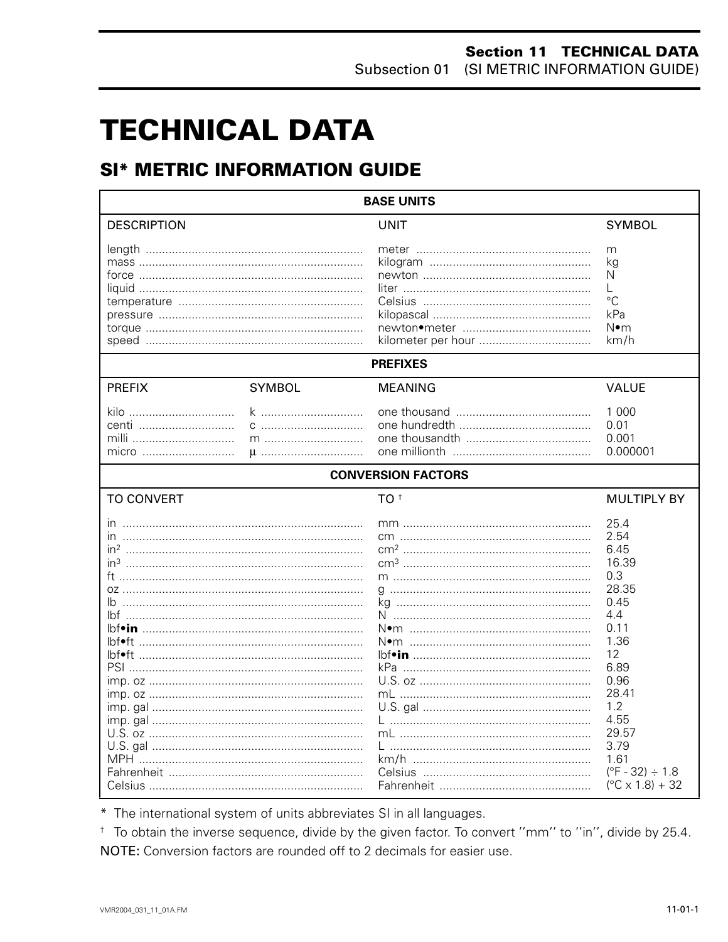# **TECHNICAL DATA**

# **SI\* METRIC INFORMATION GUIDE**

| <b>BASE UNITS</b>                                                                         |               |                           |                                                                                                                                                                                                                     |  |  |  |
|-------------------------------------------------------------------------------------------|---------------|---------------------------|---------------------------------------------------------------------------------------------------------------------------------------------------------------------------------------------------------------------|--|--|--|
| <b>DESCRIPTION</b>                                                                        |               | <b>UNIT</b>               | <b>SYMBOL</b>                                                                                                                                                                                                       |  |  |  |
|                                                                                           |               |                           | m<br>kg<br>N<br>L<br>$\rm ^{\circ}C$<br>kPa<br>N∙m<br>km/h                                                                                                                                                          |  |  |  |
|                                                                                           |               | <b>PREFIXES</b>           |                                                                                                                                                                                                                     |  |  |  |
| <b>PREFIX</b>                                                                             | <b>SYMBOL</b> | <b>MEANING</b>            | <b>VALUE</b>                                                                                                                                                                                                        |  |  |  |
| kilo<br>centi<br>milli<br>micro                                                           | k<br>$m$<br>u |                           | 1 0 0 0<br>0.01<br>0.001<br>0.000001                                                                                                                                                                                |  |  |  |
|                                                                                           |               | <b>CONVERSION FACTORS</b> |                                                                                                                                                                                                                     |  |  |  |
| <b>TO CONVERT</b>                                                                         |               | TO <sup>t</sup>           | <b>MULTIPLY BY</b>                                                                                                                                                                                                  |  |  |  |
| ın<br>in <sup>3</sup><br>lbf•ft ……………………………………………………………<br>lbf•ft …………………………………………………………… |               |                           | 25.4<br>2.54<br>6.45<br>16.39<br>0.3<br>28.35<br>0.45<br>4.4<br>0.11<br>1.36<br>12<br>6.89<br>0.96<br>28.41<br>1.2<br>4.55<br>29.57<br>3.79<br>1.61<br>$(^{\circ}F - 32) \div 1.8$<br>$(^{\circ}C \times 1.8) + 32$ |  |  |  |

\* The international system of units abbreviates SI in all languages.

<sup>+</sup> To obtain the inverse sequence, divide by the given factor. To convert "mm" to "in", divide by 25.4. NOTE: Conversion factors are rounded off to 2 decimals for easier use.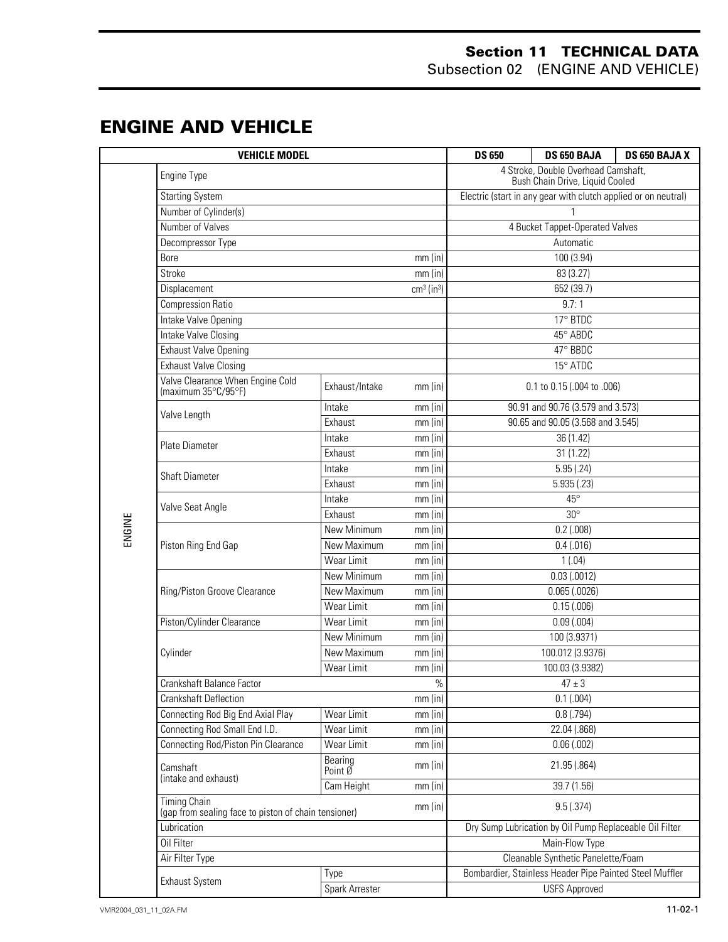#### **Section 11 TECHNICAL DATA** Subsection 02 (ENGINE AND VEHICLE)

### **ENGINE AND VEHICLE**

|        | <b>VEHICLE MODEL</b>                                                                     | <b>DS 650</b>      | DS 650 BAJA          | DS 650 BAJA X                                                          |                                   |  |
|--------|------------------------------------------------------------------------------------------|--------------------|----------------------|------------------------------------------------------------------------|-----------------------------------|--|
|        | Engine Type                                                                              |                    |                      | 4 Stroke, Double Overhead Camshaft,<br>Bush Chain Drive, Liquid Cooled |                                   |  |
|        | <b>Starting System</b>                                                                   |                    |                      | Electric (start in any gear with clutch applied or on neutral)         |                                   |  |
|        | Number of Cylinder(s)                                                                    |                    |                      |                                                                        |                                   |  |
|        | Number of Valves                                                                         |                    |                      | 4 Bucket Tappet-Operated Valves                                        |                                   |  |
|        | Decompressor Type                                                                        |                    |                      | Automatic                                                              |                                   |  |
|        | Bore<br>$mm$ (in)                                                                        |                    |                      | 100 (3.94)                                                             |                                   |  |
|        | $mm$ (in)<br>Stroke                                                                      |                    |                      | 83 (3.27)                                                              |                                   |  |
|        | cm <sup>3</sup> (in <sup>3</sup> )<br>Displacement                                       |                    |                      |                                                                        | 652 (39.7)                        |  |
|        | <b>Compression Ratio</b>                                                                 |                    |                      | 9.7:1                                                                  |                                   |  |
|        | Intake Valve Opening                                                                     |                    |                      | 17° BTDC                                                               |                                   |  |
|        | Intake Valve Closing                                                                     |                    |                      | 45° ABDC                                                               |                                   |  |
|        | <b>Exhaust Valve Opening</b>                                                             |                    |                      |                                                                        | 47° BBDC                          |  |
|        | <b>Exhaust Valve Closing</b>                                                             |                    |                      |                                                                        | 15° ATDC                          |  |
|        | Valve Clearance When Engine Cold<br>Exhaust/Intake<br>(maximum 35°C/95°F)                |                    | $mm$ (in)            |                                                                        | 0.1 to 0.15 (.004 to .006)        |  |
|        | Valve Length                                                                             | Intake             | $mm$ (in)            |                                                                        | 90.91 and 90.76 (3.579 and 3.573) |  |
|        |                                                                                          | Exhaust            | $mm$ (in)            |                                                                        | 90.65 and 90.05 (3.568 and 3.545) |  |
|        | <b>Plate Diameter</b>                                                                    | Intake             | mm (in)              |                                                                        | 36 (1.42)                         |  |
|        |                                                                                          | Exhaust            | $mm$ (in)            | 31(1.22)                                                               |                                   |  |
|        | <b>Shaft Diameter</b>                                                                    | Intake             | $mm$ (in)            |                                                                        | 5.95(.24)                         |  |
|        |                                                                                          | Exhaust            | $mm$ (in)            | 5.935(.23)                                                             |                                   |  |
|        | Valve Seat Angle                                                                         | Intake             | $mm$ (in)            | $45^{\circ}$                                                           |                                   |  |
|        |                                                                                          | Exhaust            | $mm$ (in)            | $30^\circ$                                                             |                                   |  |
| ENGINE |                                                                                          | New Minimum        | $mm$ (in)            | $0.2$ (.008)                                                           |                                   |  |
|        | Piston Ring End Gap                                                                      | New Maximum        | $mm$ (in)            |                                                                        | 0.4(0.016)                        |  |
|        |                                                                                          | Wear Limit         | $mm$ (in)            | 1(.04)                                                                 |                                   |  |
|        |                                                                                          | New Minimum        | $mm$ (in)            | 0.03(0.0012)                                                           |                                   |  |
|        | Ring/Piston Groove Clearance                                                             | New Maximum        | $mm$ (in)            | $0.065$ $(.0026)$                                                      |                                   |  |
|        |                                                                                          | Wear Limit         | $mm$ (in)            | 0.15(.006)                                                             |                                   |  |
|        | Piston/Cylinder Clearance                                                                | Wear Limit         | $mm$ (in)            | $0.09$ $(.004)$                                                        |                                   |  |
|        |                                                                                          | New Minimum        | $mm$ (in)            | 100 (3.9371)                                                           |                                   |  |
|        | Cylinder                                                                                 | New Maximum        | $mm$ (in)            | 100.012 (3.9376)                                                       |                                   |  |
|        |                                                                                          | Wear Limit         | $mm$ (in)            | 100.03 (3.9382)                                                        |                                   |  |
|        | Crankshaft Balance Factor                                                                |                    | $\%$                 |                                                                        | $47 \pm 3$                        |  |
|        | <b>Crankshaft Deflection</b>                                                             |                    | $mm$ (in)            |                                                                        | 0.1(0.004)                        |  |
|        | Connecting Rod Big End Axial Play                                                        | Wear Limit         | $mm$ (in)            |                                                                        | $0.8$ (.794)                      |  |
|        | Connecting Rod Small End I.D.                                                            | Wear Limit         | $mm$ (in)            |                                                                        | 22.04 (.868)                      |  |
|        | Connecting Rod/Piston Pin Clearance                                                      | Wear Limit         | mm(in)               |                                                                        | 0.06(.002)                        |  |
|        | Camshaft<br>(intake and exhaust)                                                         | Bearing<br>Point Ø | $mm$ (in)            | 21.95 (.864)                                                           |                                   |  |
|        |                                                                                          | Cam Height         | $mm$ (in)            | 39.7 (1.56)                                                            |                                   |  |
|        | <b>Timing Chain</b><br>$mm$ (in)<br>(gap from sealing face to piston of chain tensioner) |                    |                      | 9.5(.374)                                                              |                                   |  |
|        | Lubrication                                                                              |                    |                      | Dry Sump Lubrication by Oil Pump Replaceable Oil Filter                |                                   |  |
|        | Oil Filter                                                                               |                    |                      | Main-Flow Type                                                         |                                   |  |
|        | Air Filter Type                                                                          |                    |                      | Cleanable Synthetic Panelette/Foam                                     |                                   |  |
|        | <b>Exhaust System</b>                                                                    | Type               |                      | Bombardier, Stainless Header Pipe Painted Steel Muffler                |                                   |  |
|        | Spark Arrester                                                                           |                    | <b>USFS Approved</b> |                                                                        |                                   |  |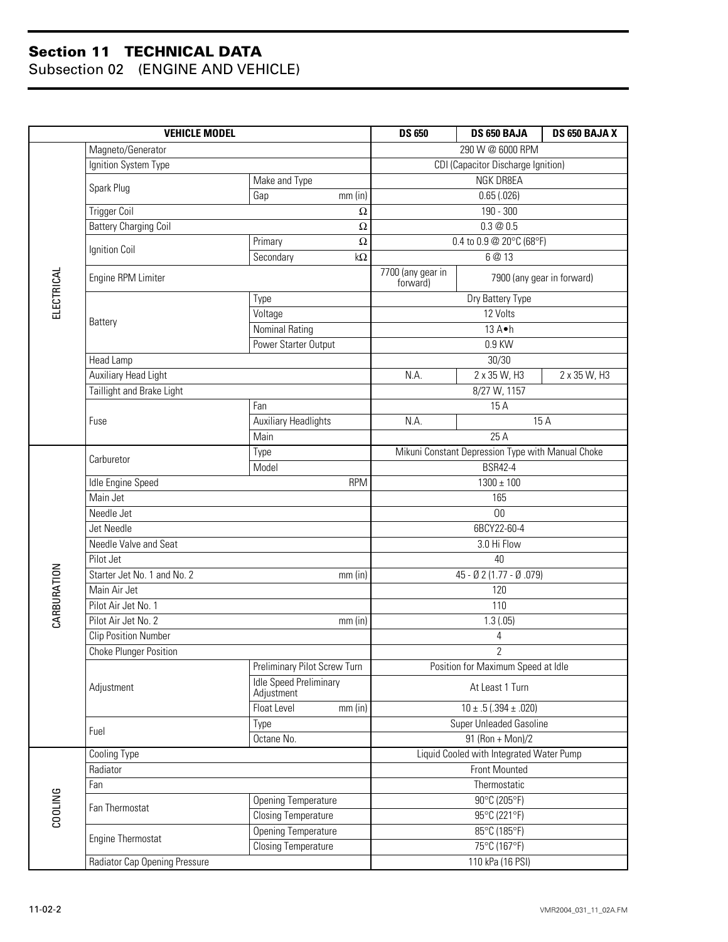|             | <b>VEHICLE MODEL</b>          | <b>DS 650</b>                                                 | DS 650 BAJA                                                 | DS 650 BAJA X                                          |              |
|-------------|-------------------------------|---------------------------------------------------------------|-------------------------------------------------------------|--------------------------------------------------------|--------------|
|             | Magneto/Generator             |                                                               | 290 W @ 6000 RPM                                            |                                                        |              |
|             | Ignition System Type          | CDI (Capacitor Discharge Ignition)                            |                                                             |                                                        |              |
|             | Spark Plug                    | Make and Type                                                 | NGK DR8EA                                                   |                                                        |              |
|             |                               | Gap<br>$mm$ (in)                                              |                                                             | 0.65(.026)                                             |              |
|             | <b>Trigger Coil</b>           | 190 - 300                                                     |                                                             |                                                        |              |
|             | <b>Battery Charging Coil</b>  | Ω                                                             |                                                             | 0.3@0.5                                                |              |
|             | Ignition Coil                 | Primary<br>Ω                                                  | 0.4 to 0.9 @ 20°C (68°F)                                    |                                                        |              |
|             |                               | Secondary<br>$k\Omega$                                        |                                                             | 6 @ 13                                                 |              |
| ELECTRICAL  | Engine RPM Limiter            |                                                               | 7700 (any gear in<br>7900 (any gear in forward)<br>forward) |                                                        |              |
|             |                               | Type                                                          |                                                             | Dry Battery Type                                       |              |
|             | Battery                       | Voltage                                                       |                                                             | 12 Volts                                               |              |
|             |                               | <b>Nominal Rating</b>                                         |                                                             | 13 A•h                                                 |              |
|             |                               | Power Starter Output                                          |                                                             | 0.9 KW                                                 |              |
|             | Head Lamp                     |                                                               |                                                             | 30/30                                                  |              |
|             | <b>Auxiliary Head Light</b>   |                                                               | N.A.                                                        | 2 x 35 W, H3                                           | 2 x 35 W, H3 |
|             | Taillight and Brake Light     |                                                               |                                                             | 8/27 W, 1157                                           |              |
|             |                               | Fan                                                           |                                                             | 15 A                                                   |              |
|             | Fuse                          | <b>Auxiliary Headlights</b>                                   | N.A.                                                        |                                                        | 15 A         |
|             |                               | Main                                                          | 25A                                                         |                                                        |              |
|             | Carburetor                    | Type                                                          | Mikuni Constant Depression Type with Manual Choke           |                                                        |              |
|             | Model<br><b>RPM</b>           |                                                               | <b>BSR42-4</b>                                              |                                                        |              |
|             | Idle Engine Speed             | $1300 \pm 100$                                                |                                                             |                                                        |              |
|             | Main Jet                      | 165                                                           |                                                             |                                                        |              |
|             | Needle Jet                    |                                                               | 00                                                          |                                                        |              |
|             | Jet Needle                    |                                                               | 6BCY22-60-4                                                 |                                                        |              |
|             | Needle Valve and Seat         |                                                               | 3.0 Hi Flow                                                 |                                                        |              |
|             | Pilot Jet                     |                                                               | 40                                                          |                                                        |              |
|             | Starter Jet No. 1 and No. 2   | mm(in)                                                        | 45 - Ø 2 (1.77 - Ø .079)                                    |                                                        |              |
|             | Main Air Jet                  |                                                               | 120                                                         |                                                        |              |
| CARBURATION | Pilot Air Jet No. 1           |                                                               | 110                                                         |                                                        |              |
|             | Pilot Air Jet No. 2           | $mm$ (in)                                                     | 1.3(.05)                                                    |                                                        |              |
|             | <b>Clip Position Number</b>   | $\sqrt{4}$                                                    |                                                             |                                                        |              |
|             | <b>Choke Plunger Position</b> | $\overline{2}$                                                |                                                             |                                                        |              |
|             |                               | Preliminary Pilot Screw Turn<br><b>Idle Speed Preliminary</b> | Position for Maximum Speed at Idle                          |                                                        |              |
|             | Adjustment                    | Adjustment<br>Float Level<br>$mm$ (in)                        | At Least 1 Turn                                             |                                                        |              |
|             |                               | Type                                                          |                                                             | $10 \pm .5 (.394 \pm .020)$<br>Super Unleaded Gasoline |              |
|             | Fuel                          | Octane No.                                                    | 91 (Ron + Mon)/2                                            |                                                        |              |
|             | <b>Cooling Type</b>           |                                                               | Liquid Cooled with Integrated Water Pump                    |                                                        |              |
|             | Radiator                      | <b>Front Mounted</b>                                          |                                                             |                                                        |              |
|             | Fan                           |                                                               | Thermostatic                                                |                                                        |              |
|             |                               | <b>Opening Temperature</b>                                    | 90°C (205°F)                                                |                                                        |              |
| COOLING     | Fan Thermostat                | <b>Closing Temperature</b>                                    | 95°C (221°F)                                                |                                                        |              |
|             |                               | <b>Opening Temperature</b>                                    | 85°C (185°F)                                                |                                                        |              |
|             | Engine Thermostat             | <b>Closing Temperature</b>                                    | 75°C (167°F)                                                |                                                        |              |
|             | Radiator Cap Opening Pressure | 110 kPa (16 PSI)                                              |                                                             |                                                        |              |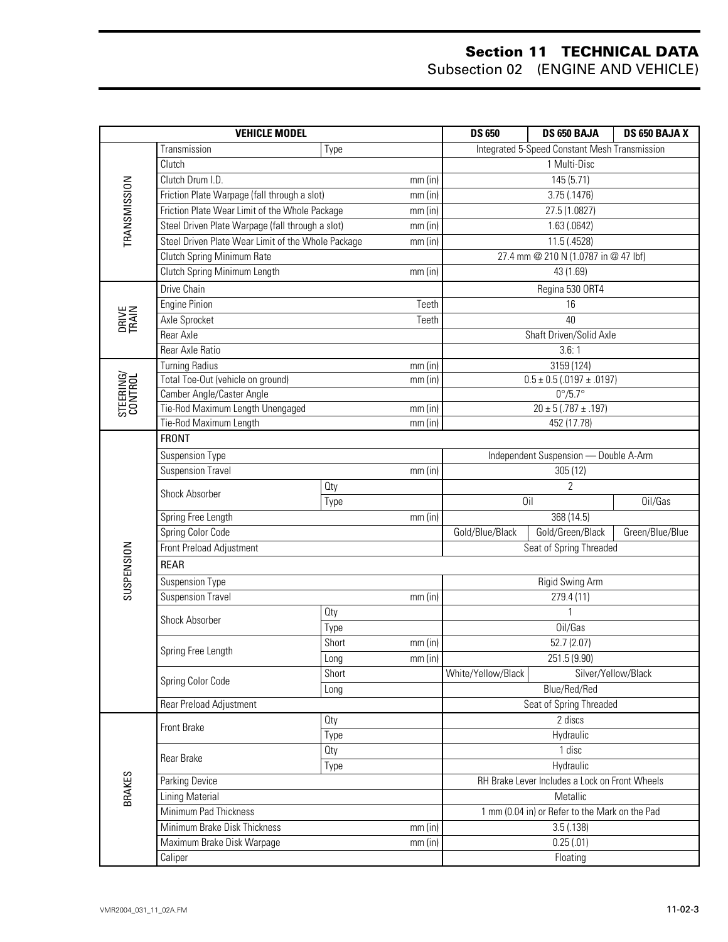|                       | <b>VEHICLE MODEL</b>                               | <b>DS 650</b> | DS 650 BAJA                                    | DS 650 BAJA X                                  |                                               |         |  |
|-----------------------|----------------------------------------------------|---------------|------------------------------------------------|------------------------------------------------|-----------------------------------------------|---------|--|
|                       | Transmission                                       | Type          |                                                |                                                | Integrated 5-Speed Constant Mesh Transmission |         |  |
|                       | Clutch                                             |               | 1 Multi-Disc                                   |                                                |                                               |         |  |
|                       | Clutch Drum I.D.<br>$mm$ (in)                      |               | 145 (5.71)                                     |                                                |                                               |         |  |
|                       | Friction Plate Warpage (fall through a slot)       |               | $mm$ (in)                                      | 3.75(.1476)                                    |                                               |         |  |
|                       | Friction Plate Wear Limit of the Whole Package     |               | $mm$ (in)                                      | 27.5 (1.0827)                                  |                                               |         |  |
| TRANSMISSION          | Steel Driven Plate Warpage (fall through a slot)   |               | $mm$ (in)                                      | 1.63(0.0642)                                   |                                               |         |  |
|                       | Steel Driven Plate Wear Limit of the Whole Package |               | $mm$ (in)                                      | 11.5 (.4528)                                   |                                               |         |  |
|                       | <b>Clutch Spring Minimum Rate</b>                  |               |                                                |                                                | 27.4 mm @ 210 N (1.0787 in @ 47 lbf)          |         |  |
|                       | Clutch Spring Minimum Length                       |               | $mm$ (in)                                      |                                                | 43 (1.69)                                     |         |  |
|                       | Drive Chain                                        |               |                                                |                                                | Regina 530 ORT4                               |         |  |
|                       | <b>Engine Pinion</b>                               |               | Teeth                                          | 16                                             |                                               |         |  |
| <b>DRIVE</b><br>TRAIN | Axle Sprocket                                      |               | Teeth                                          |                                                | 40                                            |         |  |
|                       | Rear Axle                                          |               |                                                |                                                | Shaft Driven/Solid Axle                       |         |  |
|                       | Rear Axle Ratio                                    |               |                                                |                                                | 3.6:1                                         |         |  |
|                       | <b>Turning Radius</b>                              |               | mm (in)                                        |                                                | 3159 (124)                                    |         |  |
| STEERING/<br>CONTROL  | Total Toe-Out (vehicle on ground)                  |               | $mm$ (in)                                      |                                                | $0.5 \pm 0.5$ (.0197 $\pm$ .0197)             |         |  |
|                       | Camber Angle/Caster Angle                          |               |                                                |                                                | $0^{\circ}/5.7^{\circ}$                       |         |  |
|                       | Tie-Rod Maximum Length Unengaged                   |               | mm (in)                                        | $20 \pm 5 (0.787 \pm 0.197)$                   |                                               |         |  |
|                       | Tie-Rod Maximum Length                             |               | $mm$ (in)                                      |                                                | 452 (17.78)                                   |         |  |
|                       | <b>FRONT</b>                                       |               |                                                |                                                |                                               |         |  |
|                       | <b>Suspension Type</b>                             |               |                                                | Independent Suspension - Double A-Arm          |                                               |         |  |
|                       | <b>Suspension Travel</b>                           |               | $mm$ (in)                                      | 305(12)                                        |                                               |         |  |
|                       | Shock Absorber                                     | <b>Qty</b>    |                                                |                                                | $\overline{2}$<br>Oil                         |         |  |
|                       | Type<br>Spring Free Length                         |               |                                                |                                                | 368 (14.5)                                    | Oil/Gas |  |
|                       | $mm$ (in)<br>Spring Color Code                     |               |                                                | Gold/Green/Black                               |                                               |         |  |
|                       | Front Preload Adjustment                           |               | Gold/Blue/Black                                | Seat of Spring Threaded                        | Green/Blue/Blue                               |         |  |
| SUSPENSION            |                                                    |               |                                                |                                                |                                               |         |  |
|                       | <b>REAR</b>                                        |               |                                                |                                                |                                               |         |  |
|                       | Suspension Type                                    |               |                                                |                                                | Rigid Swing Arm                               |         |  |
|                       | <b>Suspension Travel</b>                           |               | $mm$ (in)                                      | 279.4 (11)                                     |                                               |         |  |
|                       | Shock Absorber                                     | Oty           |                                                | 1                                              |                                               |         |  |
|                       |                                                    | Type          |                                                | Oil/Gas                                        |                                               |         |  |
|                       | Spring Free Length                                 | Short         | $mm$ (in)<br>mm (in)                           | 52.7 (2.07)                                    |                                               |         |  |
|                       |                                                    | Long          |                                                | White/Yellow/Black                             | 251.5 (9.90)                                  |         |  |
|                       | Spring Color Code                                  | Short         |                                                |                                                | Silver/Yellow/Black<br>Blue/Red/Red           |         |  |
|                       | Rear Preload Adjustment                            | Long          |                                                |                                                | Seat of Spring Threaded                       |         |  |
|                       |                                                    | <b>Qty</b>    |                                                | 2 discs                                        |                                               |         |  |
|                       | Front Brake                                        | Type          |                                                |                                                | Hydraulic                                     |         |  |
|                       |                                                    | Oty           |                                                |                                                | 1 disc                                        |         |  |
|                       | Rear Brake                                         | Type          |                                                | Hydraulic                                      |                                               |         |  |
|                       | Parking Device                                     |               | RH Brake Lever Includes a Lock on Front Wheels |                                                |                                               |         |  |
| <b>BRAKES</b>         | <b>Lining Material</b>                             |               | Metallic                                       |                                                |                                               |         |  |
|                       | Minimum Pad Thickness                              |               |                                                | 1 mm (0.04 in) or Refer to the Mark on the Pad |                                               |         |  |
|                       | Minimum Brake Disk Thickness                       |               | $mm$ (in)                                      | 3.5(0.138)                                     |                                               |         |  |
|                       | Maximum Brake Disk Warpage                         |               | $mm$ (in)                                      | 0.25(.01)                                      |                                               |         |  |
|                       | Caliper                                            |               |                                                | Floating                                       |                                               |         |  |
|                       |                                                    |               |                                                |                                                |                                               |         |  |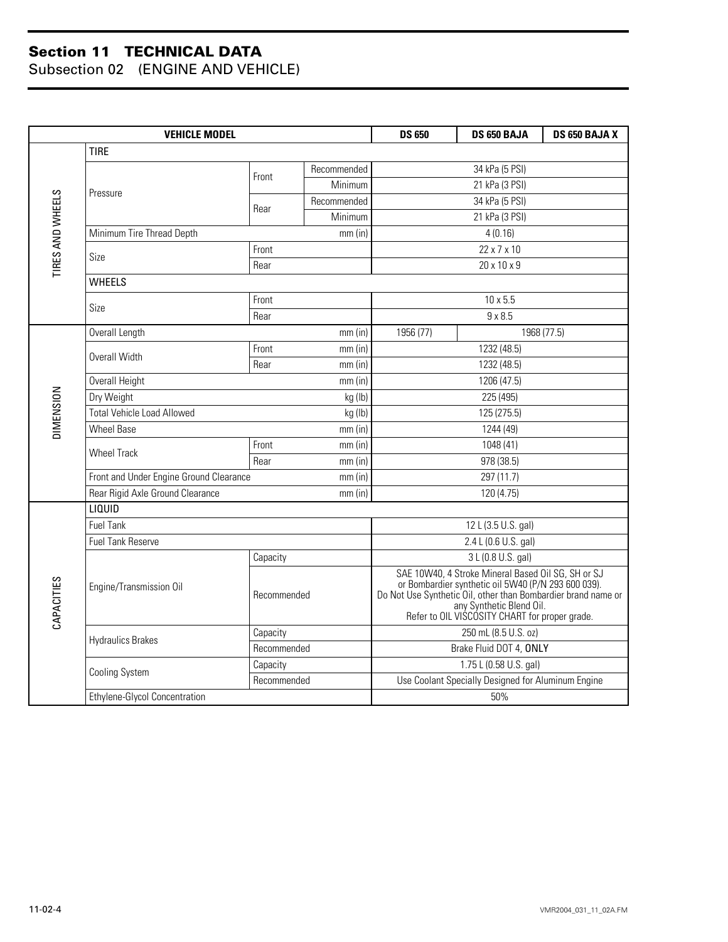|                  | <b>VEHICLE MODEL</b>                                 |             |             |                                                                                                                                                                                                                                                          | DS 650 BAJA     | DS 650 BAJA X |  |
|------------------|------------------------------------------------------|-------------|-------------|----------------------------------------------------------------------------------------------------------------------------------------------------------------------------------------------------------------------------------------------------------|-----------------|---------------|--|
|                  | <b>TIRE</b>                                          |             |             |                                                                                                                                                                                                                                                          |                 |               |  |
|                  |                                                      |             | Recommended |                                                                                                                                                                                                                                                          | 34 kPa (5 PSI)  |               |  |
|                  |                                                      | Front       | Minimum     | 21 kPa (3 PSI)                                                                                                                                                                                                                                           |                 |               |  |
|                  | Pressure                                             | Rear        | Recommended |                                                                                                                                                                                                                                                          | 34 kPa (5 PSI)  |               |  |
|                  |                                                      |             | Minimum     |                                                                                                                                                                                                                                                          | 21 kPa (3 PSI)  |               |  |
| TIRES AND WHEELS | Minimum Tire Thread Depth                            |             | $mm$ (in)   | 4(0.16)                                                                                                                                                                                                                                                  |                 |               |  |
|                  | Size                                                 | Front       |             |                                                                                                                                                                                                                                                          | 22 x 7 x 10     |               |  |
|                  |                                                      | Rear        |             |                                                                                                                                                                                                                                                          | 20 x 10 x 9     |               |  |
|                  | <b>WHEELS</b>                                        |             |             |                                                                                                                                                                                                                                                          |                 |               |  |
|                  | Size                                                 | Front       |             |                                                                                                                                                                                                                                                          | $10 \times 5.5$ |               |  |
|                  |                                                      | Rear        |             |                                                                                                                                                                                                                                                          | $9 \times 8.5$  |               |  |
|                  | Overall Length                                       |             | $mm$ (in)   | 1956 (77)                                                                                                                                                                                                                                                |                 | 1968 (77.5)   |  |
|                  | Overall Width                                        | Front       | $mm$ (in)   |                                                                                                                                                                                                                                                          | 1232 (48.5)     |               |  |
|                  |                                                      | Rear        | $mm$ (in)   | 1232 (48.5)                                                                                                                                                                                                                                              |                 |               |  |
|                  | Overall Height<br>$mm$ (in)                          |             |             | 1206 (47.5)                                                                                                                                                                                                                                              |                 |               |  |
|                  | Dry Weight<br>kg (lb)                                |             |             |                                                                                                                                                                                                                                                          | 225 (495)       |               |  |
| <b>DIMENSION</b> | <b>Total Vehicle Load Allowed</b><br>kg (lb)         |             |             |                                                                                                                                                                                                                                                          | 125 (275.5)     |               |  |
|                  | Wheel Base                                           |             | $mm$ (in)   |                                                                                                                                                                                                                                                          | 1244 (49)       |               |  |
|                  | <b>Wheel Track</b>                                   | Front       | $mm$ (in)   | 1048 (41)                                                                                                                                                                                                                                                |                 |               |  |
|                  |                                                      | Rear        | $mm$ (in)   |                                                                                                                                                                                                                                                          | 978 (38.5)      |               |  |
|                  | Front and Under Engine Ground Clearance<br>$mm$ (in) |             |             |                                                                                                                                                                                                                                                          | 297 (11.7)      |               |  |
|                  | Rear Rigid Axle Ground Clearance                     |             | $mm$ (in)   | 120 (4.75)                                                                                                                                                                                                                                               |                 |               |  |
|                  | LIQUID                                               |             |             |                                                                                                                                                                                                                                                          |                 |               |  |
|                  | Fuel Tank                                            |             |             | 12 L (3.5 U.S. gal)                                                                                                                                                                                                                                      |                 |               |  |
|                  | <b>Fuel Tank Reserve</b>                             |             |             | 2.4 L (0.6 U.S. gal)                                                                                                                                                                                                                                     |                 |               |  |
|                  |                                                      | Capacity    |             | 3 L (0.8 U.S. gal)                                                                                                                                                                                                                                       |                 |               |  |
| CAPACITIES       | Engine/Transmission Oil                              | Recommended |             | SAE 10W40, 4 Stroke Mineral Based Oil SG, SH or SJ<br>or Bombardier synthetic oil 5W40 (P/N 293 600 039).<br>Do Not Use Synthetic Oil, other than Bombardier brand name or<br>any Synthetic Blend Oil.<br>Refer to OIL VISCOSITY CHART for proper grade. |                 |               |  |
|                  | <b>Hydraulics Brakes</b>                             | Capacity    |             | 250 mL (8.5 U.S. oz)                                                                                                                                                                                                                                     |                 |               |  |
|                  |                                                      | Recommended |             | Brake Fluid DOT 4, ONLY                                                                                                                                                                                                                                  |                 |               |  |
|                  | <b>Cooling System</b>                                | Capacity    |             | 1.75 L (0.58 U.S. gal)                                                                                                                                                                                                                                   |                 |               |  |
|                  |                                                      | Recommended |             | Use Coolant Specially Designed for Aluminum Engine                                                                                                                                                                                                       |                 |               |  |
|                  | Ethylene-Glycol Concentration                        |             |             | 50%                                                                                                                                                                                                                                                      |                 |               |  |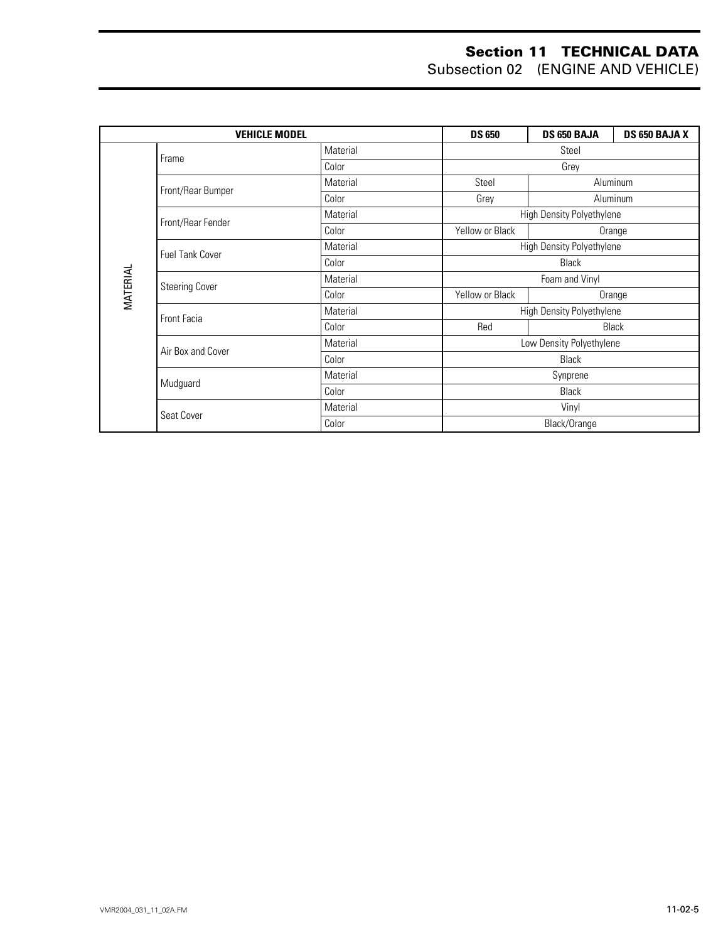|          | <b>VEHICLE MODEL</b>   |          |                           | DS 650 BAJA               | DS 650 BAJA X |
|----------|------------------------|----------|---------------------------|---------------------------|---------------|
|          | Frame                  | Material | Steel                     |                           |               |
|          |                        | Color    | Grey                      |                           |               |
|          | Front/Rear Bumper      | Material | Steel                     |                           | Aluminum      |
|          |                        | Color    | Grey                      |                           | Aluminum      |
|          | Front/Rear Fender      | Material |                           | High Density Polyethylene |               |
|          |                        | Color    | Yellow or Black           |                           | Orange        |
|          | <b>Fuel Tank Cover</b> | Material | High Density Polyethylene |                           |               |
|          |                        | Color    | <b>Black</b>              |                           |               |
|          | <b>Steering Cover</b>  | Material | Foam and Vinyl            |                           |               |
| MATERIAL |                        | Color    | Yellow or Black           | Orange                    |               |
|          | <b>Front Facia</b>     | Material | High Density Polyethylene |                           |               |
|          |                        | Color    | Red                       | <b>Black</b>              |               |
|          | Air Box and Cover      | Material | Low Density Polyethylene  |                           |               |
|          |                        | Color    | <b>Black</b>              |                           |               |
|          | Mudguard               | Material | Synprene                  |                           |               |
|          |                        | Color    | <b>Black</b>              |                           |               |
|          | Seat Cover             | Material | Vinyl                     |                           |               |
|          |                        | Color    | Black/Orange              |                           |               |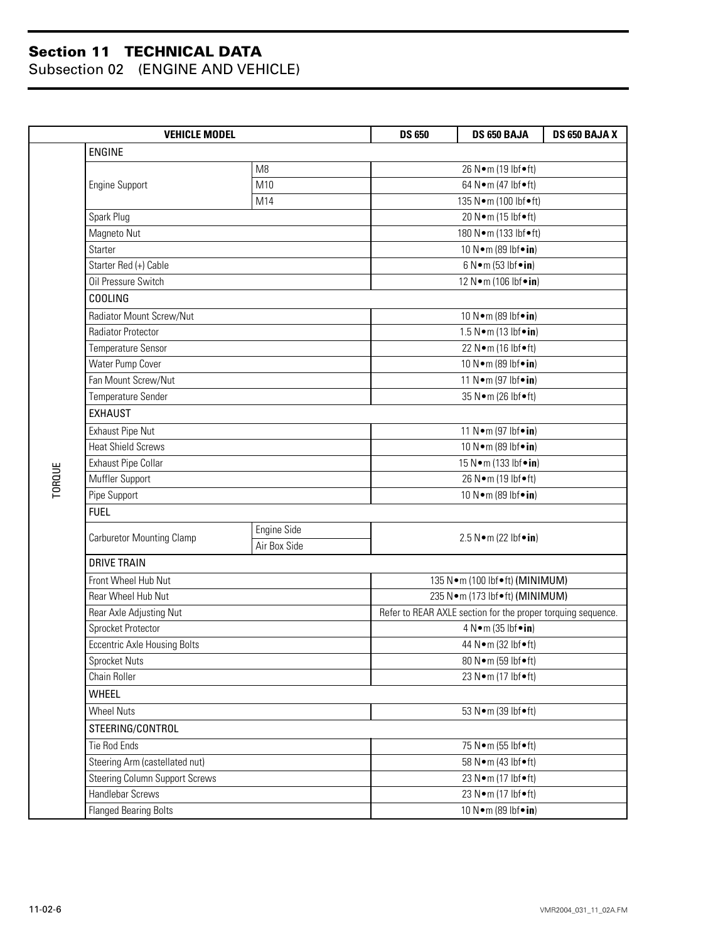|        | <b>VEHICLE MODEL</b>                  | <b>DS 650</b>  | DS 650 BAJA                        | DS 650 BAJA X                                                |                                 |  |  |
|--------|---------------------------------------|----------------|------------------------------------|--------------------------------------------------------------|---------------------------------|--|--|
|        | ENGINE                                |                |                                    |                                                              |                                 |  |  |
|        |                                       | M <sub>8</sub> | 26 N•m (19 lbf•ft)                 |                                                              |                                 |  |  |
|        | Engine Support                        | M10            |                                    | 64 N•m (47 lbf•ft)                                           |                                 |  |  |
|        |                                       | M14            |                                    | 135 N•m (100 lbf•ft)                                         |                                 |  |  |
|        | Spark Plug                            |                |                                    |                                                              |                                 |  |  |
|        | Magneto Nut                           |                |                                    |                                                              | 180 N·m (133 lbf•ft)            |  |  |
|        | <b>Starter</b>                        |                |                                    |                                                              | 10 N · m (89 lbf · in)          |  |  |
|        | Starter Red (+) Cable                 |                |                                    |                                                              | $6 N \cdot m (53 lbf \cdot in)$ |  |  |
|        | Oil Pressure Switch                   |                |                                    |                                                              | 12 N•m (106 lbf•in)             |  |  |
|        | COOLING                               |                |                                    |                                                              |                                 |  |  |
|        | Radiator Mount Screw/Nut              |                |                                    |                                                              |                                 |  |  |
|        | Radiator Protector                    |                |                                    | $1.5 N \cdot m$ (13 lbf $\cdot in$ )                         |                                 |  |  |
|        | Temperature Sensor                    |                |                                    | 22 N•m (16 lbf•ft)                                           |                                 |  |  |
|        | Water Pump Cover                      |                |                                    | 10 N · m (89 lbf · in)                                       |                                 |  |  |
|        | Fan Mount Screw/Nut                   |                |                                    | 11 N • m (97 lbf • in)                                       |                                 |  |  |
|        | Temperature Sender                    |                |                                    |                                                              |                                 |  |  |
|        | <b>EXHAUST</b>                        |                |                                    |                                                              |                                 |  |  |
|        | <b>Exhaust Pipe Nut</b>               |                |                                    |                                                              | 11 N • m (97 lbf • in)          |  |  |
|        | <b>Heat Shield Screws</b>             |                |                                    |                                                              | 10 N · m (89 lbf · in)          |  |  |
|        | <b>Exhaust Pipe Collar</b>            |                |                                    |                                                              | 15 N • m (133 lbf • in)         |  |  |
| TORQUE | Muffler Support                       |                |                                    |                                                              |                                 |  |  |
|        | Pipe Support                          |                |                                    |                                                              |                                 |  |  |
|        | <b>FUEL</b>                           |                |                                    |                                                              |                                 |  |  |
|        | <b>Carburetor Mounting Clamp</b>      | Engine Side    |                                    | 2.5 $N \cdot m$ (22 lbf $\cdot in$ )                         |                                 |  |  |
|        |                                       | Air Box Side   |                                    |                                                              |                                 |  |  |
|        | <b>DRIVE TRAIN</b>                    |                |                                    |                                                              |                                 |  |  |
|        | Front Wheel Hub Nut                   |                |                                    | 135 N · m (100 lbf • ft) (MINIMUM)                           |                                 |  |  |
|        | <b>Rear Wheel Hub Nut</b>             |                | 235 N · m (173 lbf • ft) (MINIMUM) |                                                              |                                 |  |  |
|        | Rear Axle Adjusting Nut               |                |                                    | Refer to REAR AXLE section for the proper torquing sequence. |                                 |  |  |
|        | Sprocket Protector                    |                |                                    | 4 N•m (35 lbf•in)                                            |                                 |  |  |
|        | <b>Eccentric Axle Housing Bolts</b>   |                |                                    | 44 N•m (32 lbf•ft)                                           |                                 |  |  |
|        | Sprocket Nuts                         |                |                                    | 80 N•m (59 lbf•ft)                                           |                                 |  |  |
|        | Chain Roller                          |                |                                    | 23 N•m (17 lbf•ft)                                           |                                 |  |  |
|        | <b>WHEEL</b>                          |                |                                    |                                                              |                                 |  |  |
|        | <b>Wheel Nuts</b>                     |                |                                    |                                                              |                                 |  |  |
|        | STEERING/CONTROL                      |                |                                    |                                                              |                                 |  |  |
|        | <b>Tie Rod Ends</b>                   |                | 75 N•m (55 lbf•ft)                 |                                                              |                                 |  |  |
|        | Steering Arm (castellated nut)        |                |                                    | 58 N•m (43 lbf•ft)                                           |                                 |  |  |
|        | <b>Steering Column Support Screws</b> |                | 23 N•m (17 lbf•ft)                 |                                                              |                                 |  |  |
|        | Handlebar Screws                      |                | 23 N•m (17 lbf•ft)                 |                                                              |                                 |  |  |
|        | Flanged Bearing Bolts                 |                | 10 N•m (89 lbf•in)                 |                                                              |                                 |  |  |